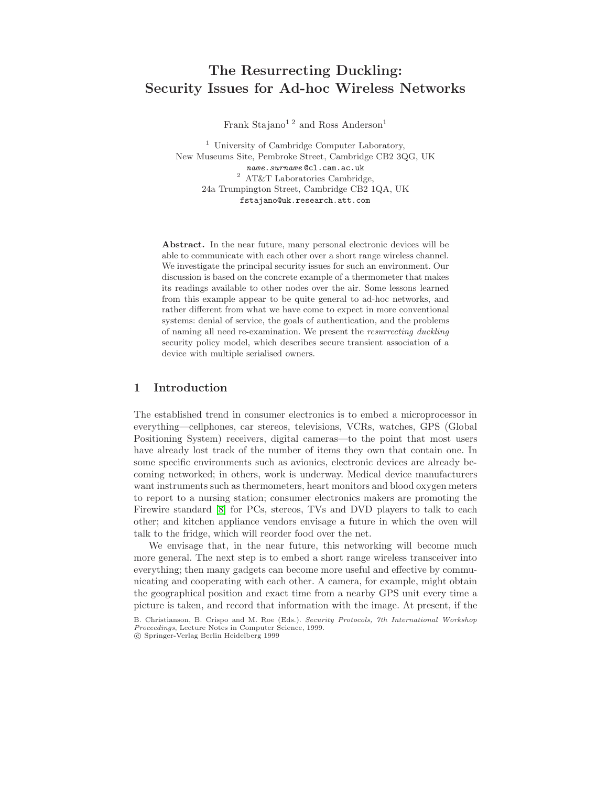# **The Resurrecting Duckling: Security Issues for Ad-hoc Wireless Networks**

Frank Stajano<sup>12</sup> and Ross Anderson<sup>1</sup>

<sup>1</sup> University of Cambridge Computer Laboratory, New Museums Site, Pembroke Street, Cambridge CB2 3QG, UK name.surname @cl.cam.ac.uk  $^2\,$  AT&T Laboratories Cambridge, 24a Trumpington Street, Cambridge CB2 1QA, UK fstajano@uk.research.att.com

**Abstract.** In the near future, many personal electronic devices will be able to communicate with each other over a short range wireless channel. We investigate the principal security issues for such an environment. Our discussion is based on the concrete example of a thermometer that makes its readings available to other nodes over the air. Some lessons learned from this example appear to be quite general to ad-hoc networks, and rather different from what we have come to expect in more conventional systems: denial of service, the goals of authentication, and the problems of naming all need re-examination. We present the resurrecting duckling security policy model, which describes secure transient association of a device with multiple serialised owners.

### **1 Introduction**

The established trend in consumer electronics is to embed a microprocessor in everything—cellphones, car stereos, televisions, VCRs, watches, GPS (Global Positioning System) receivers, digital cameras—to the point that most users have already lost track of the number of items they own that contain one. In some specific environments such as avionics, electronic devices are already becoming networked; in others, work is underway. Medical device manufacturers want instruments such as thermometers, heart monitors and blood oxygen meters to report to a nursing station; consumer electronics makers are promoting the Firewire standard [8] for PCs, stereos, TVs and DVD players to talk to each other; and kitchen appliance vendors envisage a future in which the oven will talk to the fridge, which will reorder food over the net.

We envisage that, in the near future, this networking will become much more general. The next step is to embed a short range wireless transceiver into everything; then many gadgets can become more useful and effective by communicating and cooperating with each other. A camera, for example, might obtain the geographical position and exact time from a nearby GPS unit every time a picture is taken, and record that information with the image. At present, if the

B. Christianson, B. Crispo and M. Roe (Eds.). Security Protocols, 7th International Workshop Proceedings, Lecture Notes in Computer Science, 1999. c Springer-Verlag Berlin Heidelberg 1999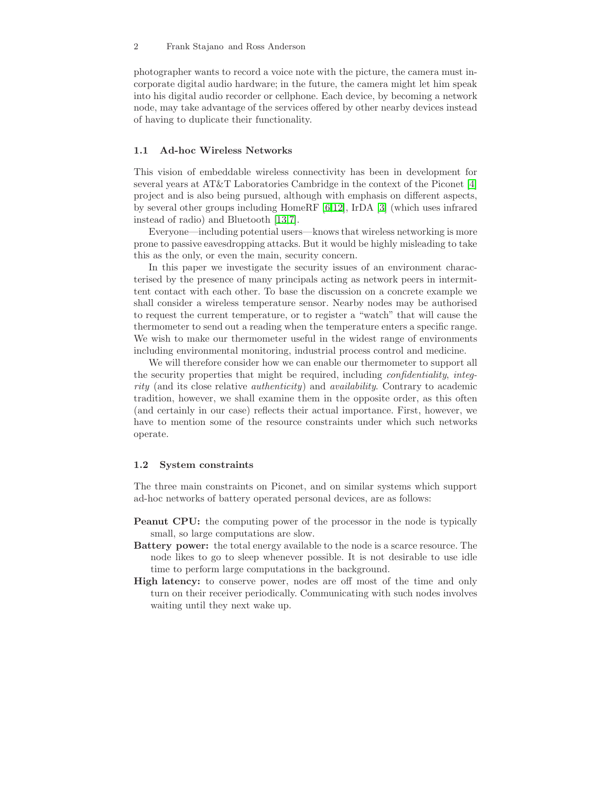photographer wants to record a voice note with the picture, the camera must incorporate digital audio hardware; in the future, the camera might let him speak into his digital audio recorder or cellphone. Each device, by becoming a network node, may take advantage of the services offered by other nearby devices instead of having to duplicate their functionality.

#### **1.1 Ad-hoc Wireless Networks**

This vision of embeddable wireless connectivity has b[een](#page-10-0) in development for several years at AT&T Laboratories Cambridge in the context of the Piconet [4] project and is also bei[ng](#page-10-1) [pu](#page-10-2)rsued, [alt](#page-10-3)hough with emphasis on different aspects, by several [othe](#page-10-4)[r](#page-10-5) groups including HomeRF [6,12], IrDA [3] (which uses infrared instead of radio) and Bluetooth [13,7].

Everyone—including potential users—knows that wireless networking is more prone to passive eavesdropping attacks. But it would be highly misleading to take this as the only, or even the main, security concern.

In this paper we investigate the security issues of an environment characterised by the presence of many principals acting as network peers in intermittent contact with each other. To base the discussion on a concrete example we shall consider a wireless temperature sensor. Nearby nodes may be authorised to request the current temperature, or to register a "watch" that will cause the thermometer to send out a reading when the temperature enters a specific range. We wish to make our thermometer useful in the widest range of environments including environmental monitoring, industrial process control and medicine.

We will therefore consider how we can enable our thermometer to support all the security properties that might be required, including *confidentiality*, *integrity* (and its close relative *authenticity*) and *availability*. Contrary to academic tradition, however, we shall examine them in the opposite order, as this often (and certainly in our case) reflects their actual importance. First, however, we have to mention some of the resource constraints under which such networks operate.

#### **1.2 System constraints**

The three main constraints on Piconet, and on similar systems which support ad-hoc networks of battery operated personal devices, are as follows:

- **Peanut CPU:** the computing power of the processor in the node is typically small, so large computations are slow.
- **Battery power:** the total energy available to the node is a scarce resource. The node likes to go to sleep whenever possible. It is not desirable to use idle time to perform large computations in the background.
- **High latency:** to conserve power, nodes are off most of the time and only turn on their receiver periodically. Communicating with such nodes involves waiting until they next wake up.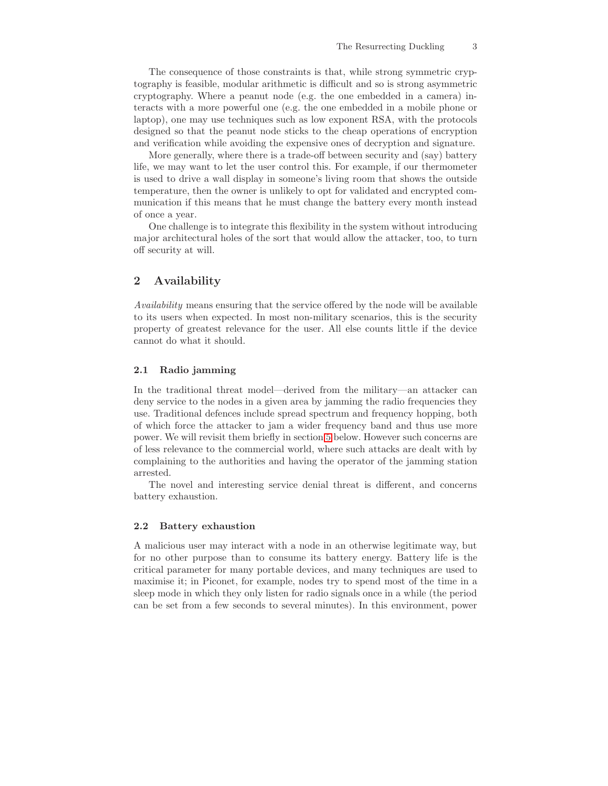The consequence of those constraints is that, while strong symmetric cryptography is feasible, modular arithmetic is difficult and so is strong asymmetric cryptography. Where a peanut node (e.g. the one embedded in a camera) interacts with a more powerful one (e.g. the one embedded in a mobile phone or laptop), one may use techniques such as low exponent RSA, with the protocols designed so that the peanut node sticks to the cheap operations of encryption and verification while avoiding the expensive ones of decryption and signature.

More generally, where there is a trade-off between security and (say) battery life, we may want to let the user control this. For example, if our thermometer is used to drive a wall display in someone's living room that shows the outside temperature, then the owner is unlikely to opt for validated and encrypted communication if this means that he must change the battery every month instead of once a year.

One challenge is to integrate this flexibility in the system without introducing major architectural holes of the sort that would allow the attacker, too, to turn off security at will.

### **2 Availability**

*Availability* means ensuring that the service offered by the node will be available to its users when expected. In most non-military scenarios, this is the security property of greatest relevance for the user. All else counts little if the device cannot do what it should.

#### **2.1 Radio jamming**

In the traditional threat model—derived from the military—an attacker can deny service to the nodes in a given area by jamming the radio frequencies they use. Traditional defences include spread spectrum and frequency hopping, both of which force the att[ack](#page-9-0)er to jam a wider frequency band and thus use more power. We will revisit them briefly in section 5 below. However such concerns are of less relevance to the commercial world, where such attacks are dealt with by complaining to the authorities and having the operator of the jamming station arrested.

The novel and interesting service denial threat is different, and concerns battery exhaustion.

#### **2.2 Battery exhaustion**

A malicious user may interact with a node in an otherwise legitimate way, but for no other purpose than to consume its battery energy. Battery life is the critical parameter for many portable devices, and many techniques are used to maximise it; in Piconet, for example, nodes try to spend most of the time in a sleep mode in which they only listen for radio signals once in a while (the period can be set from a few seconds to several minutes). In this environment, power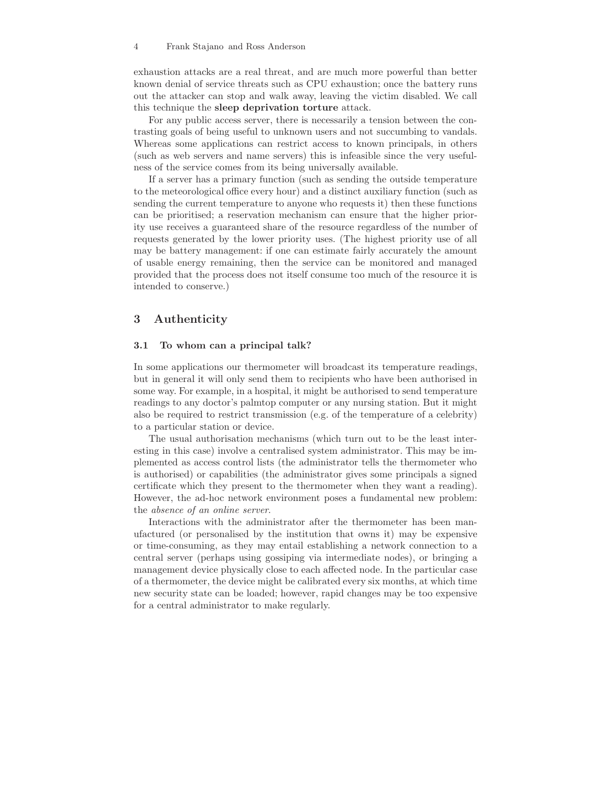exhaustion attacks are a real threat, and are much more powerful than better known denial of service threats such as CPU exhaustion; once the battery runs out the attacker can stop and walk away, leaving the victim disabled. We call this technique the **sleep deprivation torture** attack.

For any public access server, there is necessarily a tension between the contrasting goals of being useful to unknown users and not succumbing to vandals. Whereas some applications can restrict access to known principals, in others (such as web servers and name servers) this is infeasible since the very usefulness of the service comes from its being universally available.

If a server has a primary function (such as sending the outside temperature to the meteorological office every hour) and a distinct auxiliary function (such as sending the current temperature to anyone who requests it) then these functions can be prioritised; a reservation mechanism can ensure that the higher priority use receives a guaranteed share of the resource regardless of the number of requests generated by the lower priority uses. (The highest priority use of all may be battery management: if one can estimate fairly accurately the amount of usable energy remaining, then the service can be monitored and managed provided that the process does not itself consume too much of the resource it is intended to conserve.)

### **3 Authenticity**

#### **3.1 To whom can a principal talk?**

In some applications our thermometer will broadcast its temperature readings, but in general it will only send them to recipients who have been authorised in some way. For example, in a hospital, it might be authorised to send temperature readings to any doctor's palmtop computer or any nursing station. But it might also be required to restrict transmission (e.g. of the temperature of a celebrity) to a particular station or device.

The usual authorisation mechanisms (which turn out to be the least interesting in this case) involve a centralised system administrator. This may be implemented as access control lists (the administrator tells the thermometer who is authorised) or capabilities (the administrator gives some principals a signed certificate which they present to the thermometer when they want a reading). However, the ad-hoc network environment poses a fundamental new problem: the *absence of an online server*.

Interactions with the administrator after the thermometer has been manufactured (or personalised by the institution that owns it) may be expensive or time-consuming, as they may entail establishing a network connection to a central server (perhaps using gossiping via intermediate nodes), or bringing a management device physically close to each affected node. In the particular case of a thermometer, the device might be calibrated every six months, at which time new security state can be loaded; however, rapid changes may be too expensive for a central administrator to make regularly.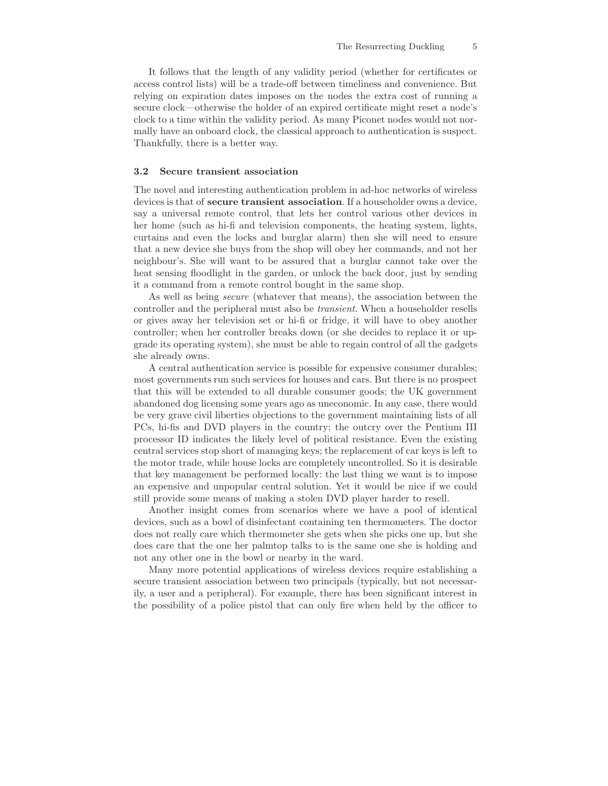It follows that the length of any validity period (whether for certificates or access control lists) will be a trade-off between timeliness and convenience. But relying on expiration dates imposes on the nodes the extra cost of running a secure clock—otherwise the holder of an expired certificate might reset a node's clock to a time within the validity period. As many Piconet nodes would not normally have an onboard clock, the classical approach to authentication is suspect. Thankfully, there is a better way.

#### **3.2 Secure transient association**

The novel and interesting authentication problem in ad-hoc networks of wireless devices is that of **secure transient association**. If a householder owns a device, say a universal remote control, that lets her control various other devices in her home (such as hi-fi and television components, the heating system, lights, curtains and even the locks and burglar alarm) then she will need to ensure that a new device she buys from the shop will obey her commands, and not her neighbour's. She will want to be assured that a burglar cannot take over the heat sensing floodlight in the garden, or unlock the back door, just by sending it a command from a remote control bought in the same shop.

As well as being *secure* (whatever that means), the association between the controller and the peripheral must also be *transient*. When a householder resells or gives away her television set or hi-fi or fridge, it will have to obey another controller; when her controller breaks down (or she decides to replace it or upgrade its operating system), she must be able to regain control of all the gadgets she already owns.

A central authentication service is possible for expensive consumer durables; most governments run such services for houses and cars. But there is no prospect that this will be extended to all durable consumer goods; the UK government abandoned dog licensing some years ago as uneconomic. In any case, there would be very grave civil liberties objections to the government maintaining lists of all PCs, hi-fis and DVD players in the country; the outcry over the Pentium III processor ID indicates the likely level of political resistance. Even the existing central services stop short of managing keys; the replacement of car keys is left to the motor trade, while house locks are completely uncontrolled. So it is desirable that key management be performed locally: the last thing we want is to impose an expensive and unpopular central solution. Yet it would be nice if we could still provide some means of making a stolen DVD player harder to resell.

Another insight comes from scenarios where we have a pool of identical devices, such as a bowl of disinfectant containing ten thermometers. The doctor does not really care which thermometer she gets when she picks one up, but she does care that the one her palmtop talks to is the same one she is holding and not any other one in the bowl or nearby in the ward.

Many more potential applications of wireless devices require establishing a secure transient association between two principals (typically, but not necessarily, a user and a peripheral). For example, there has been significant interest in the possibility of a police pistol that can only fire when held by the officer to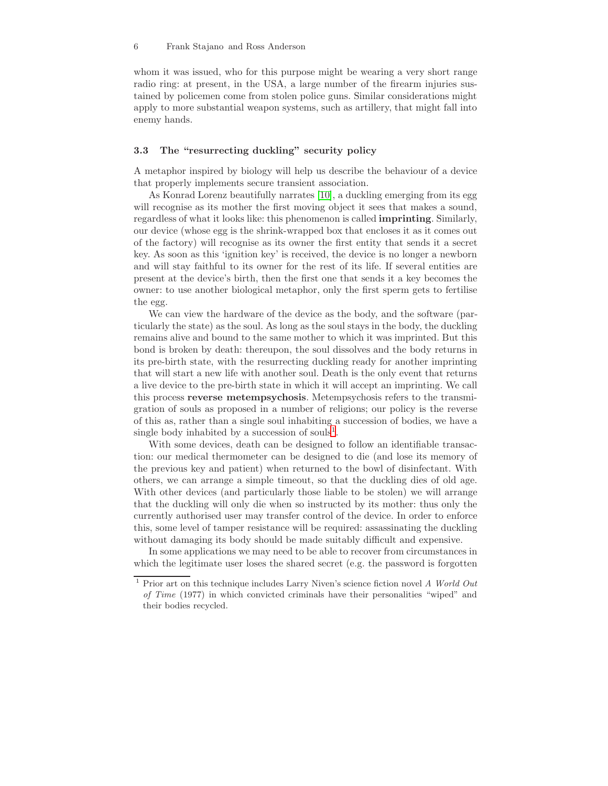whom it was issued, who for this purpose might be wearing a very short range radio ring: at present, in the USA, a large number of the firearm injuries sustained by policemen come from stolen police guns. Similar considerations might apply to more substantial weapon systems, such as artillery, that might fall into enemy hands.

#### **3.3 The "resurrecting duckling" security policy**

A metaphor inspired by biology will help us describe the behaviour of a device that properly implem[ent](#page-10-6)s secure transient association.

As Konrad Lorenz beautifully narrates [10], a duckling emerging from its egg will recognise as its mother the first moving object it sees that makes a sound, regardless of what it looks like: this phenomenon is called **imprinting**. Similarly, our device (whose egg is the shrink-wrapped box that encloses it as it comes out of the factory) will recognise as its owner the first entity that sends it a secret key. As soon as this 'ignition key' is received, the device is no longer a newborn and will stay faithful to its owner for the rest of its life. If several entities are present at the device's birth, then the first one that sends it a key becomes the owner: to use another biological metaphor, only the first sperm gets to fertilise the egg.

We can view the hardware of the device as the body, and the software (particularly the state) as the soul. As long as the soul stays in the body, the duckling remains alive and bound to the same mother to which it was imprinted. But this bond is broken by death: thereupon, the soul dissolves and the body returns in its pre-birth state, with the resurrecting duckling ready for another imprinting that will start a new life with another soul. Death is the only event that returns a live device to the pre-birth state in which it will accept an imprinting. We call this process **reverse metempsychosis**. Metempsychosis refers to the transmigration of souls as proposed in a number of religions; our policy is the reverse of this as, rather than a [si](#page-5-0)ngle soul inhabiting a succession of bodies, we have a single body inhabited by a succession of souls<sup>1</sup>.

With some devices, death can be designed to follow an identifiable transaction: our medical thermometer can be designed to die (and lose its memory of the previous key and patient) when returned to the bowl of disinfectant. With others, we can arrange a simple timeout, so that the duckling dies of old age. With other devices (and particularly those liable to be stolen) we will arrange that the duckling will only die when so instructed by its mother: thus only the currently authorised user may transfer control of the device. In order to enforce this, some level of tamper resistance will be required: assassinating the duckling without damaging its body should be made suitably difficult and expensive.

In some applications we may need to be able to recover from circumstances in which the legitimate user loses the shared secret (e.g. the password is forgotten

<span id="page-5-0"></span> $1$  Prior art on this technique includes Larry Niven's science fiction novel A World Out of Time (1977) in which convicted criminals have their personalities "wiped" and their bodies recycled.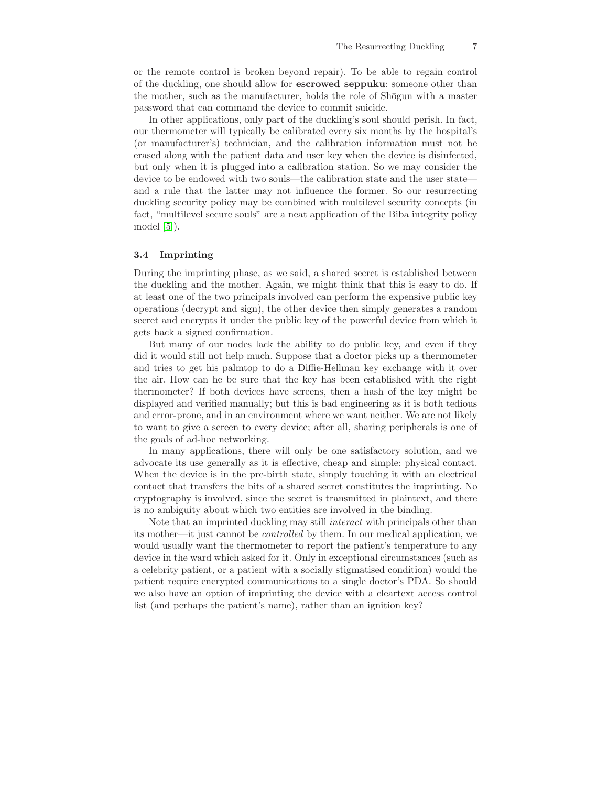or the remote control is broken beyond repair). To be able to regain control of the duckling, one should allow for **escrowed seppuku**: someone other than the mother, such as the manufacturer, holds the role of Shōgun with a master password that can command the device to commit suicide.

In other applications, only part of the duckling's soul should perish. In fact, our thermometer will typically be calibrated every six months by the hospital's (or manufacturer's) technician, and the calibration information must not be erased along with the patient data and user key when the device is disinfected, but only when it is plugged into a calibration station. So we may consider the device to be endowed with two souls—the calibration state and the user state and a rule that the latter may not influence the former. So our resurrecting duckling security policy may be combined with multilevel security concepts (in fact, "multilevel secure souls" are a neat application of the Biba integrity policy model [5]).

#### <span id="page-6-0"></span>**3.4 Imprinting**

During the imprinting phase, as we said, a shared secret is established between the duckling and the mother. Again, we might think that this is easy to do. If at least one of the two principals involved can perform the expensive public key operations (decrypt and sign), the other device then simply generates a random secret and encrypts it under the public key of the powerful device from which it gets back a signed confirmation.

But many of our nodes lack the ability to do public key, and even if they did it would still not help much. Suppose that a doctor picks up a thermometer and tries to get his palmtop to do a Diffie-Hellman key exchange with it over the air. How can he be sure that the key has been established with the right thermometer? If both devices have screens, then a hash of the key might be displayed and verified manually; but this is bad engineering as it is both tedious and error-prone, and in an environment where we want neither. We are not likely to want to give a screen to every device; after all, sharing peripherals is one of the goals of ad-hoc networking.

In many applications, there will only be one satisfactory solution, and we advocate its use generally as it is effective, cheap and simple: physical contact. When the device is in the pre-birth state, simply touching it with an electrical contact that transfers the bits of a shared secret constitutes the imprinting. No cryptography is involved, since the secret is transmitted in plaintext, and there is no ambiguity about which two entities are involved in the binding.

Note that an imprinted duckling may still *interact* with principals other than its mother—it just cannot be *controlled* by them. In our medical application, we would usually want the thermometer to report the patient's temperature to any device in the ward which asked for it. Only in exceptional circumstances (such as a celebrity patient, or a patient with a socially stigmatised condition) would the patient require encrypted communications to a single doctor's PDA. So should we also have an option of imprinting the device with a cleartext access control list (and perhaps the patient's name), rather than an ignition key?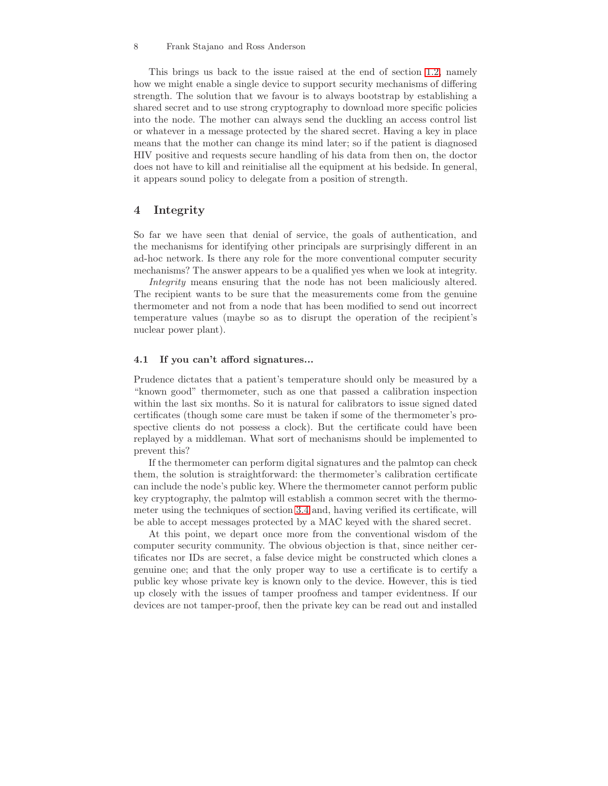#### 8 Frank Stajano and Ross Anderson

This brings us back to the issue raised at the end of section 1.2, namely how we might enable a single device to support security mechanisms of differing strength. The solution that we favour is to always bootstrap by establishing a shared secret and to use strong cryptography to download more specific policies into the node. The mother can always send the duckling an access control list or whatever in a message protected by the shared secret. Having a key in place means that the mother can change its mind later; so if the patient is diagnosed HIV positive and requests secure handling of his data from then on, the doctor does not have to kill and reinitialise all the equipment at his bedside. In general, it appears sound policy to delegate from a position of strength.

### **4 Integrity**

So far we have seen that denial of service, the goals of authentication, and the mechanisms for identifying other principals are surprisingly different in an ad-hoc network. Is there any role for the more conventional computer security mechanisms? The answer appears to be a qualified yes when we look at integrity.

*Integrity* means ensuring that the node has not been maliciously altered. The recipient wants to be sure that the measurements come from the genuine thermometer and not from a node that has been modified to send out incorrect temperature values (maybe so as to disrupt the operation of the recipient's nuclear power plant).

#### **4.1 If you can't afford signatures...**

Prudence dictates that a patient's temperature should only be measured by a "known good" thermometer, such as one that passed a calibration inspection within the last six months. So it is natural for calibrators to issue signed dated certificates (though some care must be taken if some of the thermometer's prospective clients do not possess a clock). But the certificate could have been replayed by a middleman. What sort of mechanisms should be implemented to prevent this?

If the thermometer can perform digital signatures and the palmtop can check them, the solution is straightforward: the thermometer's calibration certificate can include the node's public key. Where the thermometer cannot perform public key cryptograp[hy,](#page-6-0) [th](#page-6-0)e palmtop will establish a common secret with the thermometer using the techniques of section 3.4 and, having verified its certificate, will be able to accept messages protected by a MAC keyed with the shared secret.

At this point, we depart once more from the conventional wisdom of the computer security community. The obvious objection is that, since neither certificates nor IDs are secret, a false device might be constructed which clones a genuine one; and that the only proper way to use a certificate is to certify a public key whose private key is known only to the device. However, this is tied up closely with the issues of tamper proofness and tamper evidentness. If our devices are not tamper-proof, then the private key can be read out and installed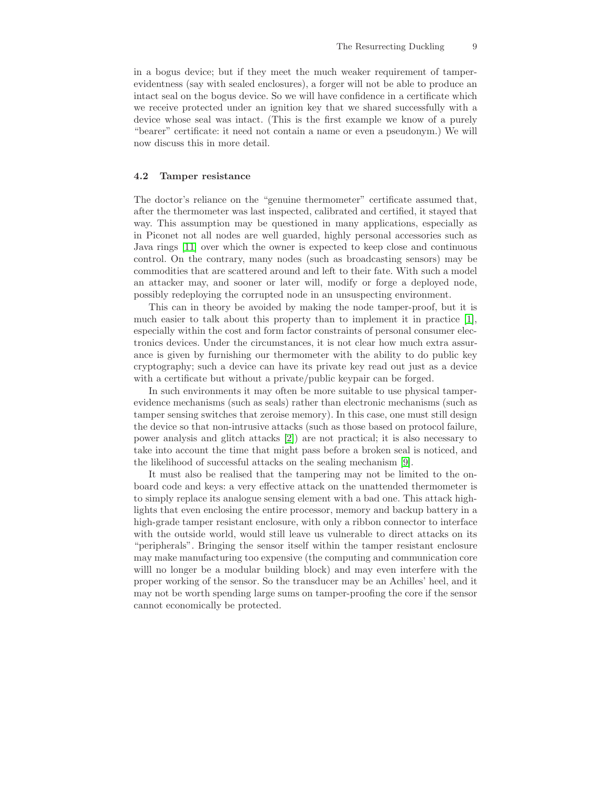in a bogus device; but if they meet the much weaker requirement of tamperevidentness (say with sealed enclosures), a forger will not be able to produce an intact seal on the bogus device. So we will have confidence in a certificate which we receive protected under an ignition key that we shared successfully with a device whose seal was intact. (This is the first example we know of a purely "bearer" certificate: it need not contain a name or even a pseudonym.) We will now discuss this in more detail.

#### **4.2 Tamper resistance**

The doctor's reliance on the "genuine thermometer" certificate assumed that, after the thermometer was last inspected, calibrated and certified, it stayed that way. This assumption may be questioned in many applications, especially as in Piconet not all nodes are well guarded, highly personal accessories such as Java rings [11] over which the owner is expected to keep close and continuous control. On the contrary, many nodes (such as broadcasting sensors) may be commodities that are scattered around and left to their fate. With such a model an attacker may, and sooner or later will, modify or forge a deployed node, possibly redeploying the corrupted node in an unsuspecting environment.

This can in theory be avoided by making the node [t](#page-10-7)amper-proof, but it is much easier to talk about this property than to implement it in practice [1], especially within the cost and form factor constraints of personal consumer electronics devices. Under the circumstances, it is not clear how much extra assurance is given by furnishing our thermometer with the ability to do public key cryptography; such a device can have its private key read out just as a device with a certificate but without a private/public keypair can be forged.

In such environments it may often be more suitable to use physical tamperevidence mechanisms (such as seals) rather than electronic mechanisms (such as tamper sensing switches that zeroise memory). In this case, one must still design the device so [tha](#page-10-8)t non-intrusive attacks (such as those based on protocol failure, power analysis and glitch attacks [2]) are not practical; it is also necessary to take into account the time that might p[ass](#page-10-9) before a broken seal is noticed, and the likelihood of successful attacks on the sealing mechanism [9].

It must also be realised that the tampering may not be limited to the onboard code and keys: a very effective attack on the unattended thermometer is to simply replace its analogue sensing element with a bad one. This attack highlights that even enclosing the entire processor, memory and backup battery in a high-grade tamper resistant enclosure, with only a ribbon connector to interface with the outside world, would still leave us vulnerable to direct attacks on its "peripherals". Bringing the sensor itself within the tamper resistant enclosure may make manufacturing too expensive (the computing and communication core willl no longer be a modular building block) and may even interfere with the proper working of the sensor. So the transducer may be an Achilles' heel, and it may not be worth spending large sums on tamper-proofing the core if the sensor cannot economically be protected.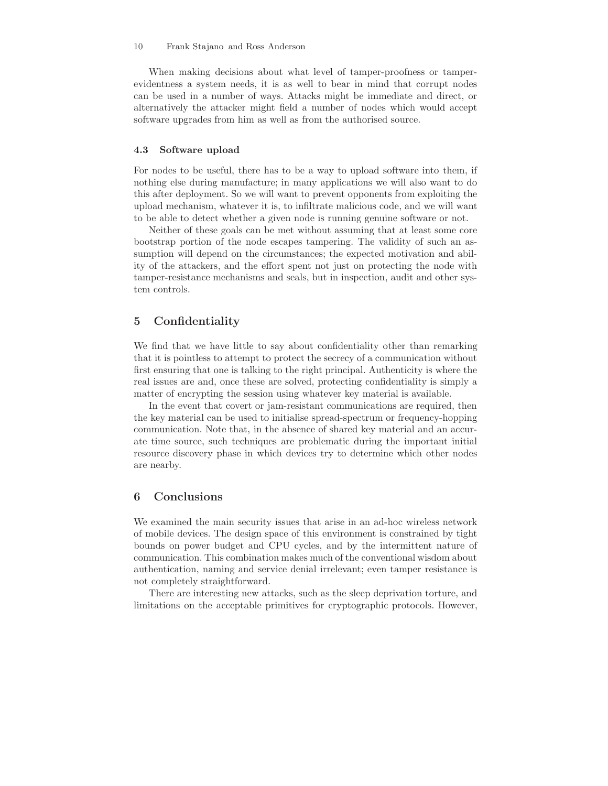When making decisions about what level of tamper-proofness or tamperevidentness a system needs, it is as well to bear in mind that corrupt nodes can be used in a number of ways. Attacks might be immediate and direct, or alternatively the attacker might field a number of nodes which would accept software upgrades from him as well as from the authorised source.

#### **4.3 Software upload**

For nodes to be useful, there has to be a way to upload software into them, if nothing else during manufacture; in many applications we will also want to do this after deployment. So we will want to prevent opponents from exploiting the upload mechanism, whatever it is, to infiltrate malicious code, and we will want to be able to detect whether a given node is running genuine software or not.

Neither of these goals can be met without assuming that at least some core bootstrap portion of the node escapes tampering. The validity of such an assumption will depend on the circumstances; the expected motivation and ability of the attackers, and the effort spent not just on protecting the node with tamper-resistance mechanisms and seals, but in inspection, audit and other system controls.

### <span id="page-9-0"></span>**5 Confidentiality**

We find that we have little to say about confidentiality other than remarking that it is pointless to attempt to protect the secrecy of a communication without first ensuring that one is talking to the right principal. Authenticity is where the real issues are and, once these are solved, protecting confidentiality is simply a matter of encrypting the session using whatever key material is available.

In the event that covert or jam-resistant communications are required, then the key material can be used to initialise spread-spectrum or frequency-hopping communication. Note that, in the absence of shared key material and an accurate time source, such techniques are problematic during the important initial resource discovery phase in which devices try to determine which other nodes are nearby.

### **6 Conclusions**

We examined the main security issues that arise in an ad-hoc wireless network of mobile devices. The design space of this environment is constrained by tight bounds on power budget and CPU cycles, and by the intermittent nature of communication. This combination makes much of the conventional wisdom about authentication, naming and service denial irrelevant; even tamper resistance is not completely straightforward.

There are interesting new attacks, such as the sleep deprivation torture, and limitations on the acceptable primitives for cryptographic protocols. However,